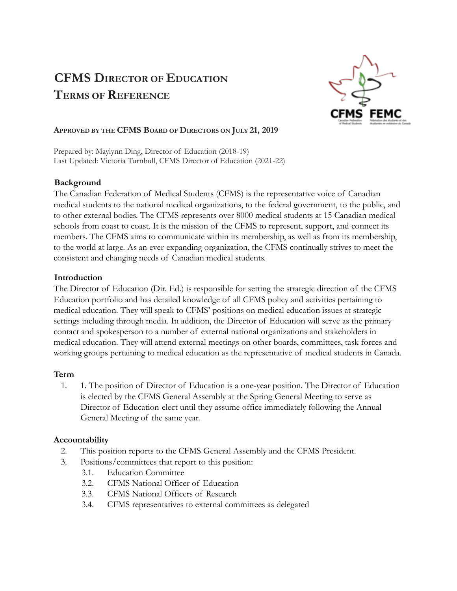# **CFMS DIRECTOR OF EDUCATION TERMS OF REFERENCE**



## **APPROVED BY THE CFMS BOARD OF DIRECTORS ON JULY 21, 2019**

Prepared by: Maylynn Ding, Director of Education (2018-19) Last Updated: Victoria Turnbull, CFMS Director of Education (2021-22)

### **Background**

The Canadian Federation of Medical Students (CFMS) is the representative voice of Canadian medical students to the national medical organizations, to the federal government, to the public, and to other external bodies. The CFMS represents over 8000 medical students at 15 Canadian medical schools from coast to coast. It is the mission of the CFMS to represent, support, and connect its members. The CFMS aims to communicate within its membership, as well as from its membership, to the world at large. As an ever-expanding organization, the CFMS continually strives to meet the consistent and changing needs of Canadian medical students.

## **Introduction**

The Director of Education (Dir. Ed.) is responsible for setting the strategic direction of the CFMS Education portfolio and has detailed knowledge of all CFMS policy and activities pertaining to medical education. They will speak to CFMS' positions on medical education issues at strategic settings including through media. In addition, the Director of Education will serve as the primary contact and spokesperson to a number of external national organizations and stakeholders in medical education. They will attend external meetings on other boards, committees, task forces and working groups pertaining to medical education as the representative of medical students in Canada.

### **Term**

1. 1. The position of Director of Education is a one-year position. The Director of Education is elected by the CFMS General Assembly at the Spring General Meeting to serve as Director of Education-elect until they assume office immediately following the Annual General Meeting of the same year.

### **Accountability**

- 2. This position reports to the CFMS General Assembly and the CFMS President.
- 3. Positions/committees that report to this position:
	- 3.1. Education Committee
	- 3.2. CFMS National Officer of Education
	- 3.3. CFMS National Officers of Research
	- 3.4. CFMS representatives to external committees as delegated